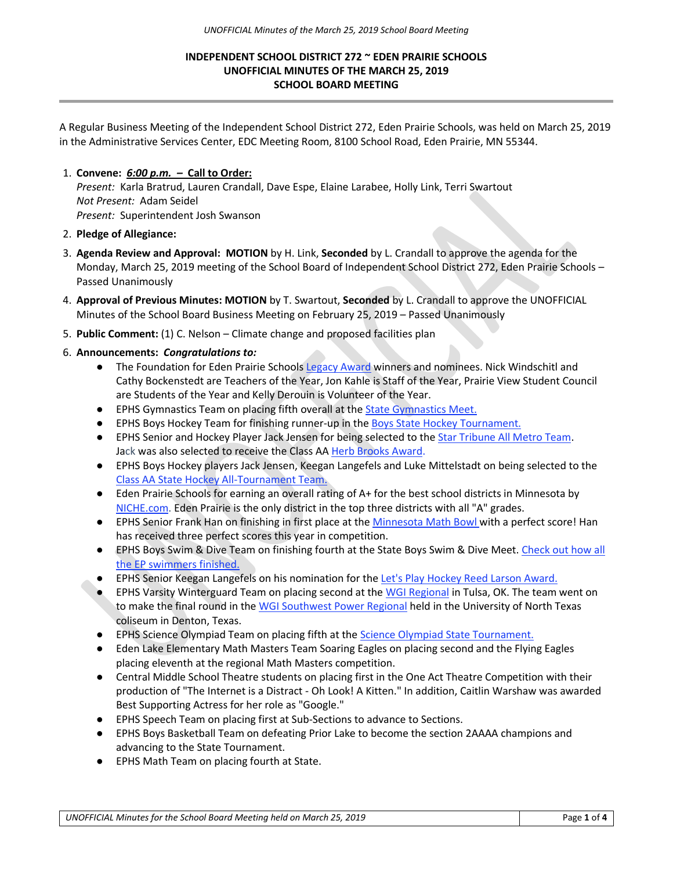## **INDEPENDENT SCHOOL DISTRICT 272 ~ EDEN PRAIRIE SCHOOLS UNOFFICIAL MINUTES OF THE MARCH 25, 2019 SCHOOL BOARD MEETING**

A Regular Business Meeting of the Independent School District 272, Eden Prairie Schools, was held on March 25, 2019 in the Administrative Services Center, EDC Meeting Room, 8100 School Road, Eden Prairie, MN 55344.

## 1. **Convene:** *6:00 p.m. –* **Call to Order:**

*Present:* Karla Bratrud, Lauren Crandall, Dave Espe, Elaine Larabee, Holly Link, Terri Swartout *Not Present:* Adam Seidel *Present:* Superintendent Josh Swanson

- 2. **Pledge of Allegiance:**
- 3. **Agenda Review and Approval: MOTION** by H. Link, **Seconded** by L. Crandall to approve the agenda for the Monday, March 25, 2019 meeting of the School Board of Independent School District 272, Eden Prairie Schools – Passed Unanimously
- 4. **Approval of Previous Minutes: MOTION** by T. Swartout, **Seconded** by L. Crandall to approve the UNOFFICIAL Minutes of the School Board Business Meeting on February 25, 2019 – Passed Unanimously
- 5. **Public Comment:** (1) C. Nelson Climate change and proposed facilities plan
- 6. **Announcements:** *Congratulations to:*
	- The Foundation for Eden Prairie School[s](http://r20.rs6.net/tn.jsp?f=001jWhvp3HtxIlASZ1nrrto0JVXejoohu8G3RQsHgU1CBQpO7jvmIt_2hRaFRmK_8F9A22SuU6CucSpfThCYj22aPP_uOmQ0thF2kT8-ANe6CQp4hL7yigorJ4KC6w1u-QLQ5-2bjW3HaBPl2fUeBTc_m9pxd7gHrQuzb9lGRIb2lRVlFaJYjiqyVWhxNwKK9r_dL_8IeUKU1uBaIWPvZtxPL3Bl59UoWYfNWI1Yb1_CqM=&c=OtWihdsF5a6amnNzI9fHsvRAk1UDdvGSManQBsO5Gjas7gCeuRNqtQ==&ch=r5CT1-ZhYDV_vaOOpOobkvx_cLRGYNtSZ_j31o8DTgccF0QPIlwLYA==) [Legacy Award](http://r20.rs6.net/tn.jsp?f=001jWhvp3HtxIlASZ1nrrto0JVXejoohu8G3RQsHgU1CBQpO7jvmIt_2hRaFRmK_8F9A22SuU6CucSpfThCYj22aPP_uOmQ0thF2kT8-ANe6CQp4hL7yigorJ4KC6w1u-QLQ5-2bjW3HaBPl2fUeBTc_m9pxd7gHrQuzb9lGRIb2lRVlFaJYjiqyVWhxNwKK9r_dL_8IeUKU1uBaIWPvZtxPL3Bl59UoWYfNWI1Yb1_CqM=&c=OtWihdsF5a6amnNzI9fHsvRAk1UDdvGSManQBsO5Gjas7gCeuRNqtQ==&ch=r5CT1-ZhYDV_vaOOpOobkvx_cLRGYNtSZ_j31o8DTgccF0QPIlwLYA==) winners and nominees. Nick Windschitl and Cathy Bockenstedt are Teachers of the Year, Jon Kahle is Staff of the Year, Prairie View Student Council are Students of the Year and Kelly Derouin is Volunteer of the Year.
	- EPHS Gymnastics Team on placing fifth overall at the [State Gymnastics Meet.](http://r20.rs6.net/tn.jsp?f=001jWhvp3HtxIlASZ1nrrto0JVXejoohu8G3RQsHgU1CBQpO7jvmIt_2hRaFRmK_8F96-RrVgbr6h0-CZAKFjKBqKMgCm7jOg9021ZEhab_LwxvGiS4lw11rw5HDrqxlg2JhUhhWJMFbAhVyTkbV6CTr5exa_y2AYkLWFYJR5YQtci-SsPwlgLCSsS2_qylzph70SVj0-am66bupp6e56kpBcnJgEm2g-ixSKYN-oyvpebA_I1wGD79eIrhr6eodr4ld0jqkzpciUlvL2JHFEimQWtnsZJtObQ2_jOZAYClUmQPev9BvE0STB-RdiVMXq2QEvl-QbXwd_SLdecLRvmjig==&c=OtWihdsF5a6amnNzI9fHsvRAk1UDdvGSManQBsO5Gjas7gCeuRNqtQ==&ch=r5CT1-ZhYDV_vaOOpOobkvx_cLRGYNtSZ_j31o8DTgccF0QPIlwLYA==)
	- EPHS Boys Hockey Team for finishing runner-up in th[e](http://r20.rs6.net/tn.jsp?f=001kYVJ7iCjWcdUnY--_VqzcVgiOEwxp5gExm3_nPvhTnw37SbcCGHk9jzpMNdF74APGb5y0RWTZb-LXcB2cGF8dDaACaZhKggU3HSyc2X-jXQ_vQm1zrOQ_aaFd8RbJGZJXyQt82X3xEA5iG0uW3c483lpXo6m-0PGVaLvupE4KhJ_ANGO0DLiCLPJCkD_IJrYIV_MnRuGmA53irpC0g6J2KKmlEMPrTXFQTsQESpbbiVr0sGSh-OIO-2dW8ZDV35kUeKgHixH8-kIMl34597hGw==&c=ouuey_29Bbd5iJiG8mhu3wVZpEd-7bLa-Jyda7y0v14gLfQv02CevA==&ch=WWKFHNeS7Hdvntcuv1nbBF_8SxjKUV4SKXCvhTY3Yl1Odc06Y0xNfQ==) [Boys State Hockey Tournament.](http://r20.rs6.net/tn.jsp?f=001kYVJ7iCjWcdUnY--_VqzcVgiOEwxp5gExm3_nPvhTnw37SbcCGHk9jzpMNdF74APGb5y0RWTZb-LXcB2cGF8dDaACaZhKggU3HSyc2X-jXQ_vQm1zrOQ_aaFd8RbJGZJXyQt82X3xEA5iG0uW3c483lpXo6m-0PGVaLvupE4KhJ_ANGO0DLiCLPJCkD_IJrYIV_MnRuGmA53irpC0g6J2KKmlEMPrTXFQTsQESpbbiVr0sGSh-OIO-2dW8ZDV35kUeKgHixH8-kIMl34597hGw==&c=ouuey_29Bbd5iJiG8mhu3wVZpEd-7bLa-Jyda7y0v14gLfQv02CevA==&ch=WWKFHNeS7Hdvntcuv1nbBF_8SxjKUV4SKXCvhTY3Yl1Odc06Y0xNfQ==)
	- EPHS Senior and Hockey Player Jack Jensen for being selected to the [Star Tribune All Metro Team.](http://r20.rs6.net/tn.jsp?f=001jWhvp3HtxIlASZ1nrrto0JVXejoohu8G3RQsHgU1CBQpO7jvmIt_2hRaFRmK_8F93AtBsTA3XCC6QkGWBL1dgt_7PphZ1mBpu-USHfiJZygnp2HGv9v6WQ7c6uk9JGp2mWDFo7u0XDZ0HDuYFyYRGpMts2v7iMk_WNbjFYOLZKRdYLSicf2F05pCtEjyjacq&c=OtWihdsF5a6amnNzI9fHsvRAk1UDdvGSManQBsO5Gjas7gCeuRNqtQ==&ch=r5CT1-ZhYDV_vaOOpOobkvx_cLRGYNtSZ_j31o8DTgccF0QPIlwLYA==) Jack was also selected to receive the Class A[A](http://r20.rs6.net/tn.jsp?f=001kYVJ7iCjWcdUnY--_VqzcVgiOEwxp5gExm3_nPvhTnw37SbcCGHk9jzpMNdF74APv5IMLqdrl-Gk8JgUcUcoBQToJ9AEvI4WK528IjyW5LLVBLqgcnZwebc6Kk4SHGiXKNFkQKb7djtYhnRvdVXKorxnAJO8CSXlzTwSCSbO8Xqb77JA1nsjeBJ5HhNDABTy-FfMOlu7jQnTBX_v0vCbXoNfGSb0sumRNv_E4DU9PjM=&c=ouuey_29Bbd5iJiG8mhu3wVZpEd-7bLa-Jyda7y0v14gLfQv02CevA==&ch=WWKFHNeS7Hdvntcuv1nbBF_8SxjKUV4SKXCvhTY3Yl1Odc06Y0xNfQ==) [Herb Brooks Award.](http://r20.rs6.net/tn.jsp?f=001kYVJ7iCjWcdUnY--_VqzcVgiOEwxp5gExm3_nPvhTnw37SbcCGHk9jzpMNdF74APv5IMLqdrl-Gk8JgUcUcoBQToJ9AEvI4WK528IjyW5LLVBLqgcnZwebc6Kk4SHGiXKNFkQKb7djtYhnRvdVXKorxnAJO8CSXlzTwSCSbO8Xqb77JA1nsjeBJ5HhNDABTy-FfMOlu7jQnTBX_v0vCbXoNfGSb0sumRNv_E4DU9PjM=&c=ouuey_29Bbd5iJiG8mhu3wVZpEd-7bLa-Jyda7y0v14gLfQv02CevA==&ch=WWKFHNeS7Hdvntcuv1nbBF_8SxjKUV4SKXCvhTY3Yl1Odc06Y0xNfQ==)
	- EPHS Boys Hockey players Jack Jensen, Keegan Langefels and Luke Mittelstadt on being selected to th[e](http://r20.rs6.net/tn.jsp?f=001kYVJ7iCjWcdUnY--_VqzcVgiOEwxp5gExm3_nPvhTnw37SbcCGHk9jzpMNdF74APIe44lB5etW6yapBxsjnMVRMBLtXdXoSMoaWreko6lY0PgJzw4WJrtmUWTYtSxiY-MU_Q7_AuUGgyZ7FBZ_xrpw9-EIP_4e91RVUM-1FunVGjwCDMakFXoiDsYaYiAcaFUhwU37_uh5nxhwFaEJk1Tk0cmhBjVZ954356Rd6Zp7ZcbGybCpPoDm0j8CoG7vV6&c=ouuey_29Bbd5iJiG8mhu3wVZpEd-7bLa-Jyda7y0v14gLfQv02CevA==&ch=WWKFHNeS7Hdvntcuv1nbBF_8SxjKUV4SKXCvhTY3Yl1Odc06Y0xNfQ==) [Class AA State Hockey All-Tournament Team.](http://r20.rs6.net/tn.jsp?f=001kYVJ7iCjWcdUnY--_VqzcVgiOEwxp5gExm3_nPvhTnw37SbcCGHk9jzpMNdF74APIe44lB5etW6yapBxsjnMVRMBLtXdXoSMoaWreko6lY0PgJzw4WJrtmUWTYtSxiY-MU_Q7_AuUGgyZ7FBZ_xrpw9-EIP_4e91RVUM-1FunVGjwCDMakFXoiDsYaYiAcaFUhwU37_uh5nxhwFaEJk1Tk0cmhBjVZ954356Rd6Zp7ZcbGybCpPoDm0j8CoG7vV6&c=ouuey_29Bbd5iJiG8mhu3wVZpEd-7bLa-Jyda7y0v14gLfQv02CevA==&ch=WWKFHNeS7Hdvntcuv1nbBF_8SxjKUV4SKXCvhTY3Yl1Odc06Y0xNfQ==)
	- Eden Prairie Schools for earning an overall rating of A+ for the best school districts in Minnesota b[y](http://r20.rs6.net/tn.jsp?f=001kYVJ7iCjWcdUnY--_VqzcVgiOEwxp5gExm3_nPvhTnw37SbcCGHk9jzpMNdF74AP1kd9k-gGMAiww52dfxtuA3CsDqe-XJHxxiN-di7nH2OMcTW4RkcKOwjQlSXIoWf1YMKlSld8sZ2_-9blzNa40y-iXx6DFYrOmLxFxmrwKWbkZP0qYiLpO0WusIdeCv9klQ8GQpggh1jU_OZ1T_nCEgPgO9pp9E3VG5K5yDBBZ5y43qSnjdNqW5z6PQfC6Yu5XR-W81-bkFj-RufEbe1Etll1_jNH_vX68IxHGgm3FnLOR-O5t8t8Kg==&c=ouuey_29Bbd5iJiG8mhu3wVZpEd-7bLa-Jyda7y0v14gLfQv02CevA==&ch=WWKFHNeS7Hdvntcuv1nbBF_8SxjKUV4SKXCvhTY3Yl1Odc06Y0xNfQ==) [NICHE.com.](http://r20.rs6.net/tn.jsp?f=001kYVJ7iCjWcdUnY--_VqzcVgiOEwxp5gExm3_nPvhTnw37SbcCGHk9jzpMNdF74AP1kd9k-gGMAiww52dfxtuA3CsDqe-XJHxxiN-di7nH2OMcTW4RkcKOwjQlSXIoWf1YMKlSld8sZ2_-9blzNa40y-iXx6DFYrOmLxFxmrwKWbkZP0qYiLpO0WusIdeCv9klQ8GQpggh1jU_OZ1T_nCEgPgO9pp9E3VG5K5yDBBZ5y43qSnjdNqW5z6PQfC6Yu5XR-W81-bkFj-RufEbe1Etll1_jNH_vX68IxHGgm3FnLOR-O5t8t8Kg==&c=ouuey_29Bbd5iJiG8mhu3wVZpEd-7bLa-Jyda7y0v14gLfQv02CevA==&ch=WWKFHNeS7Hdvntcuv1nbBF_8SxjKUV4SKXCvhTY3Yl1Odc06Y0xNfQ==) Eden Prairie is the only district in the top three districts with all "A" grades.
	- EPHS S[e](http://r20.rs6.net/tn.jsp?f=001kYVJ7iCjWcdUnY--_VqzcVgiOEwxp5gExm3_nPvhTnw37SbcCGHk9jzpMNdF74APY9-n4GvQuYRPFbNkvKGqPu3gzgK0KiPTVYaqyFpqJUrjC9y0kHZKAav7JllemdnOrm_QWqHG_VreHYdPGw9CgiLtdvDC2ztgGewXi8Pc2oO2Nm_UVmPnh1gVVbbHu5duRYEh4MWjiYEPgBHClGLizYMa_hoWNn1ZZJW7VsgNi8FcJZKW-4uIa2FeVfre6CQQzR69vJXqz98=&c=ouuey_29Bbd5iJiG8mhu3wVZpEd-7bLa-Jyda7y0v14gLfQv02CevA==&ch=WWKFHNeS7Hdvntcuv1nbBF_8SxjKUV4SKXCvhTY3Yl1Odc06Y0xNfQ==)nior Frank Han on finishing in first place at the [Minnesota Math Bowl](http://r20.rs6.net/tn.jsp?f=001kYVJ7iCjWcdUnY--_VqzcVgiOEwxp5gExm3_nPvhTnw37SbcCGHk9jzpMNdF74APY9-n4GvQuYRPFbNkvKGqPu3gzgK0KiPTVYaqyFpqJUrjC9y0kHZKAav7JllemdnOrm_QWqHG_VreHYdPGw9CgiLtdvDC2ztgGewXi8Pc2oO2Nm_UVmPnh1gVVbbHu5duRYEh4MWjiYEPgBHClGLizYMa_hoWNn1ZZJW7VsgNi8FcJZKW-4uIa2FeVfre6CQQzR69vJXqz98=&c=ouuey_29Bbd5iJiG8mhu3wVZpEd-7bLa-Jyda7y0v14gLfQv02CevA==&ch=WWKFHNeS7Hdvntcuv1nbBF_8SxjKUV4SKXCvhTY3Yl1Odc06Y0xNfQ==) with a perfect score! Han has received three perfect scores this year in competition.
	- EPHS Boys Swim & Dive Team on finishing fourth at the State Boys Swim & Dive Meet[.](http://r20.rs6.net/tn.jsp?f=001jWhvp3HtxIlASZ1nrrto0JVXejoohu8G3RQsHgU1CBQpO7jvmIt_2hRaFRmK_8F90441jOMdj8ExpAjZ1wPLOeJVnRjZKXlIh-u7P_t_aSgcgZBqkJbNtQTiW3MOEggaa-OvHU-1gJ4MmyXt29An29NCm0M4YuRI8RGMagbRiiPZshPzmITv7xOR4OWInOV2MMRyW2QEkTAnz0xL9fCamXelRk4Oyl2PECmFWVoZKuV3aQw0itrNsw0p2bgDSFrEyqKFvWQjSaGL74p5gSGlX3ENtOi40w0dLmM_wHDDaPJ0PyWdmhxUrIfG5QqkP4c7UOSMzDL56SpEHmkcLkIp-Q==&c=OtWihdsF5a6amnNzI9fHsvRAk1UDdvGSManQBsO5Gjas7gCeuRNqtQ==&ch=r5CT1-ZhYDV_vaOOpOobkvx_cLRGYNtSZ_j31o8DTgccF0QPIlwLYA==) Check out how all [the EP swimmers finished.](http://r20.rs6.net/tn.jsp?f=001jWhvp3HtxIlASZ1nrrto0JVXejoohu8G3RQsHgU1CBQpO7jvmIt_2hRaFRmK_8F90441jOMdj8ExpAjZ1wPLOeJVnRjZKXlIh-u7P_t_aSgcgZBqkJbNtQTiW3MOEggaa-OvHU-1gJ4MmyXt29An29NCm0M4YuRI8RGMagbRiiPZshPzmITv7xOR4OWInOV2MMRyW2QEkTAnz0xL9fCamXelRk4Oyl2PECmFWVoZKuV3aQw0itrNsw0p2bgDSFrEyqKFvWQjSaGL74p5gSGlX3ENtOi40w0dLmM_wHDDaPJ0PyWdmhxUrIfG5QqkP4c7UOSMzDL56SpEHmkcLkIp-Q==&c=OtWihdsF5a6amnNzI9fHsvRAk1UDdvGSManQBsO5Gjas7gCeuRNqtQ==&ch=r5CT1-ZhYDV_vaOOpOobkvx_cLRGYNtSZ_j31o8DTgccF0QPIlwLYA==)
	- EPHS S[e](http://r20.rs6.net/tn.jsp?f=001jWhvp3HtxIlASZ1nrrto0JVXejoohu8G3RQsHgU1CBQpO7jvmIt_2hRaFRmK_8F9WND5c9-4-OsTtmq4oNrlEIJKkLGk5v9_OdFSLygnSIQ2mzAzipZX3rDnQfpYFR2Ewe-FdiP8I51A7CXrRi6WQVuQgTscq5SoSjuc25iVces4FBDXL4lV5TFfrByGxNDf&c=OtWihdsF5a6amnNzI9fHsvRAk1UDdvGSManQBsO5Gjas7gCeuRNqtQ==&ch=r5CT1-ZhYDV_vaOOpOobkvx_cLRGYNtSZ_j31o8DTgccF0QPIlwLYA==)nior Keegan Langefels on his nomination for the [Let's Play Hockey Reed Larson Award.](http://r20.rs6.net/tn.jsp?f=001jWhvp3HtxIlASZ1nrrto0JVXejoohu8G3RQsHgU1CBQpO7jvmIt_2hRaFRmK_8F9WND5c9-4-OsTtmq4oNrlEIJKkLGk5v9_OdFSLygnSIQ2mzAzipZX3rDnQfpYFR2Ewe-FdiP8I51A7CXrRi6WQVuQgTscq5SoSjuc25iVces4FBDXL4lV5TFfrByGxNDf&c=OtWihdsF5a6amnNzI9fHsvRAk1UDdvGSManQBsO5Gjas7gCeuRNqtQ==&ch=r5CT1-ZhYDV_vaOOpOobkvx_cLRGYNtSZ_j31o8DTgccF0QPIlwLYA==)
	- EPHS Varsity Wint[e](http://r20.rs6.net/tn.jsp?f=001jWhvp3HtxIlASZ1nrrto0JVXejoohu8G3RQsHgU1CBQpO7jvmIt_2hRaFRmK_8F9e7fF1ifkXeHr3jkeEBZ0rDwYJ7dZ1mLTxjOGMUaAtLZNw6ldFPXSIXqqkMOqyl3K9J0ZuJOzJspXRONnFg7i1rW8O3GK6jevKwD2Ux2oCMZoZ4J7Upq-tMJnl07FKGuGOOR-VA8-PgX-wFWW3YoL_GFgLsZ6u_64MoYkjCjmgJePNBvLHNe0tD6wEsQN17o0&c=OtWihdsF5a6amnNzI9fHsvRAk1UDdvGSManQBsO5Gjas7gCeuRNqtQ==&ch=r5CT1-ZhYDV_vaOOpOobkvx_cLRGYNtSZ_j31o8DTgccF0QPIlwLYA==)rguard Team on placing second at the [WGI Regional](http://r20.rs6.net/tn.jsp?f=001jWhvp3HtxIlASZ1nrrto0JVXejoohu8G3RQsHgU1CBQpO7jvmIt_2hRaFRmK_8F9e7fF1ifkXeHr3jkeEBZ0rDwYJ7dZ1mLTxjOGMUaAtLZNw6ldFPXSIXqqkMOqyl3K9J0ZuJOzJspXRONnFg7i1rW8O3GK6jevKwD2Ux2oCMZoZ4J7Upq-tMJnl07FKGuGOOR-VA8-PgX-wFWW3YoL_GFgLsZ6u_64MoYkjCjmgJePNBvLHNe0tD6wEsQN17o0&c=OtWihdsF5a6amnNzI9fHsvRAk1UDdvGSManQBsO5Gjas7gCeuRNqtQ==&ch=r5CT1-ZhYDV_vaOOpOobkvx_cLRGYNtSZ_j31o8DTgccF0QPIlwLYA==) in Tulsa, OK. The team went on to make the final round in the [WGI Southwest Power Regional](http://r20.rs6.net/tn.jsp?f=001-69Ql0DGsUtCReLX4iPNVUnT58lJNo1qjKiK9wY4_pnI5B5CMJCxM7ZaQpKEyj0EOkyeCKuz0m9bgx3h6KKQVo0GGSkpoR_uA8uqelheMyuDIst34g3ZV24pXlGZLeBQUk8htwItzzy162EPRTFqV8X_3j-PfhfV8_1PR0ayJ-PU_t1KVB5gwMjZ8cfQ9ZtjE--s4XK6ctmh-nvPpEFXM8zwiTRV43piVCAKnsooAxyNiAVkzQFTRTC5ukr2EvhCys3iv3ZhR_E=&c=FG9lRQ-d1RZtpNusbEkg4Caah-3raQLnPzK7gIIcYrMKQoXvx2x40A==&ch=C1357JnhevndjaXA2pUi11toKgw56nxFpEqwgUSGRqeeXt7nawOJDg==) held in the University of North Texas coliseum in Denton, Texas.
	- EPHS Sci[e](http://r20.rs6.net/tn.jsp?f=001jWhvp3HtxIlASZ1nrrto0JVXejoohu8G3RQsHgU1CBQpO7jvmIt_2hRaFRmK_8F91eZ-5_qddQ8NQIQD6UcoroABCiWgfm-Vvq-WBoZ3y3rKRkUdSQvabq_p522mrL1SRv8A54qHPFyRVZvaQ4pa-zdIrnAvOFBd9NVa2qTf1RPtpSyQgOCCPxUyW4AhXzDfxFihsioBL8gMsJf0oQ5dZw==&c=OtWihdsF5a6amnNzI9fHsvRAk1UDdvGSManQBsO5Gjas7gCeuRNqtQ==&ch=r5CT1-ZhYDV_vaOOpOobkvx_cLRGYNtSZ_j31o8DTgccF0QPIlwLYA==)nce Olympiad Team on placing fifth at the [Science Olympiad State Tournament.](http://r20.rs6.net/tn.jsp?f=001jWhvp3HtxIlASZ1nrrto0JVXejoohu8G3RQsHgU1CBQpO7jvmIt_2hRaFRmK_8F91eZ-5_qddQ8NQIQD6UcoroABCiWgfm-Vvq-WBoZ3y3rKRkUdSQvabq_p522mrL1SRv8A54qHPFyRVZvaQ4pa-zdIrnAvOFBd9NVa2qTf1RPtpSyQgOCCPxUyW4AhXzDfxFihsioBL8gMsJf0oQ5dZw==&c=OtWihdsF5a6amnNzI9fHsvRAk1UDdvGSManQBsO5Gjas7gCeuRNqtQ==&ch=r5CT1-ZhYDV_vaOOpOobkvx_cLRGYNtSZ_j31o8DTgccF0QPIlwLYA==)
	- Eden Lake Elementary Math Masters Team Soaring Eagles on placing second and the Flying Eagles placing eleventh at the regional Math Masters competition.
	- Central Middle School Theatre students on placing first in the One Act Theatre Competition with their production of "The Internet is a Distract - Oh Look! A Kitten." In addition, Caitlin Warshaw was awarded Best Supporting Actress for her role as "Google."
	- EPHS Speech Team on placing first at Sub-Sections to advance to Sections.
	- EPHS Boys Basketball Team on defeating Prior Lake to become the section 2AAAA champions and advancing to the State Tournament.
	- EPHS Math Team on placing fourth at State.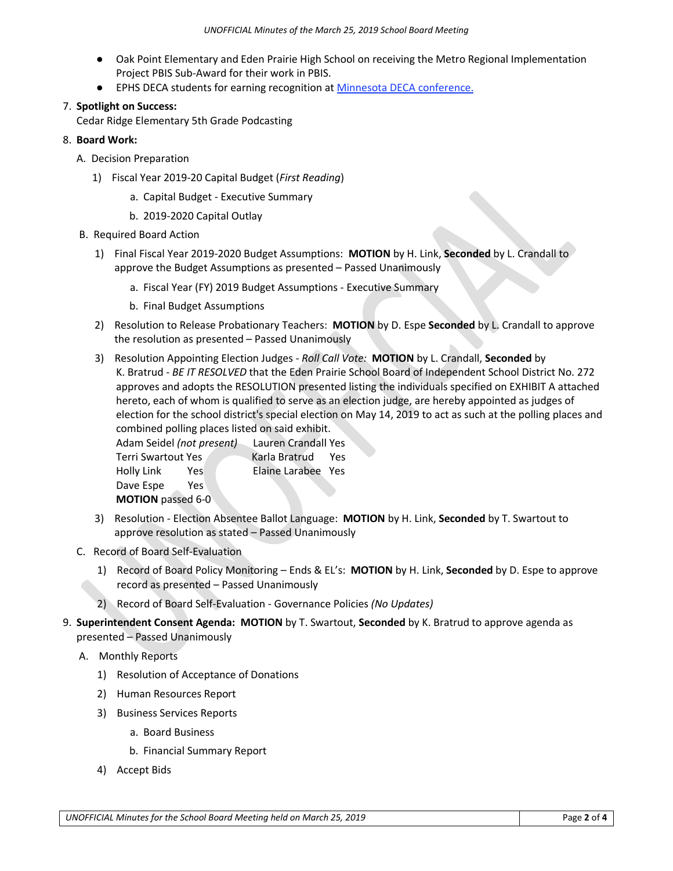- Oak Point Elementary and Eden Prairie High School on receiving the Metro Regional Implementation Project PBIS Sub-Award for their work in PBIS.
- EPHS DECA students for earning recognition at [Minnesota DECA conference.](http://r20.rs6.net/tn.jsp?f=001-69Ql0DGsUtCReLX4iPNVUnT58lJNo1qjKiK9wY4_pnI5B5CMJCxM7ZaQpKEyj0Epjb_FPISiNkm6zJdPPpRTAxCN_8HB7lyBlve7FwmPrzJzThUpDPOTYqLPL1hKAYCZ8qfgK6fs-AQRFA6QMQFhQ--mWLkEDD1gY7CPwjnyeedFaV79k6JgX2P1NzFPktn2sogSXMwZv0bzpGwduBWHrf10lH7Gei808dgEQpC5kCYYp6JK9QrvQbvozy9eX55z0bVl4VfR-udZVxoSB2Xc1l_eKWtyJWGhkCBQeobUBZ2sc1zYJIfFM7FN9hsvRKBzKnryz_zS55Je6vAgMxf_wgQYS-IGRbr0m2EFmIKfwppTqJiXFCkDA==&c=FG9lRQ-d1RZtpNusbEkg4Caah-3raQLnPzK7gIIcYrMKQoXvx2x40A==&ch=C1357JnhevndjaXA2pUi11toKgw56nxFpEqwgUSGRqeeXt7nawOJDg==)

# 7. **Spotlight on Success:**

Cedar Ridge Elementary 5th Grade Podcasting

# 8. **Board Work:**

- A. Decision Preparation
	- 1) Fiscal Year 2019-20 Capital Budget (*First Reading*)
		- a. Capital Budget Executive Summary
		- b. 2019-2020 Capital Outlay
- B. Required Board Action
	- 1) Final Fiscal Year 2019-2020 Budget Assumptions: **MOTION** by H. Link, **Seconded** by L. Crandall to approve the Budget Assumptions as presented – Passed Unanimously
		- a. Fiscal Year (FY) 2019 Budget Assumptions Executive Summary
		- b. Final Budget Assumptions
	- 2) Resolution to Release Probationary Teachers: **MOTION** by D. Espe **Seconded** by L. Crandall to approve the resolution as presented – Passed Unanimously
	- 3) Resolution Appointing Election Judges *- Roll Call Vote:* **MOTION** by L. Crandall, **Seconded** by K. Bratrud - *BE IT RESOLVED* that the Eden Prairie School Board of Independent School District No. 272 approves and adopts the RESOLUTION presented listing the individuals specified on EXHIBIT A attached hereto, each of whom is qualified to serve as an election judge, are hereby appointed as judges of election for the school district's special election on May 14, 2019 to act as such at the polling places and combined polling places listed on said exhibit.

Adam Seidel *(not present)* Lauren Crandall Yes Terri Swartout Yes Karla Bratrud Yes Holly Link Yes Elaine Larabee Yes Dave Espe Yes **MOTION** passed 6-0

- 3) Resolution Election Absentee Ballot Language: **MOTION** by H. Link, **Seconded** by T. Swartout to approve resolution as stated – Passed Unanimously
- C. Record of Board Self-Evaluation
	- 1) Record of Board Policy Monitoring Ends & EL's: **MOTION** by H. Link, **Seconded** by D. Espe to approve record as presented – Passed Unanimously
	- 2) Record of Board Self-Evaluation Governance Policies *(No Updates)*
- 9. **Superintendent Consent Agenda: MOTION** by T. Swartout, **Seconded** by K. Bratrud to approve agenda as presented – Passed Unanimously
	- A. Monthly Reports
		- 1) Resolution of Acceptance of Donations
		- 2) Human Resources Report
		- 3) Business Services Reports
			- a. Board Business
			- b. Financial Summary Report
		- 4) Accept Bids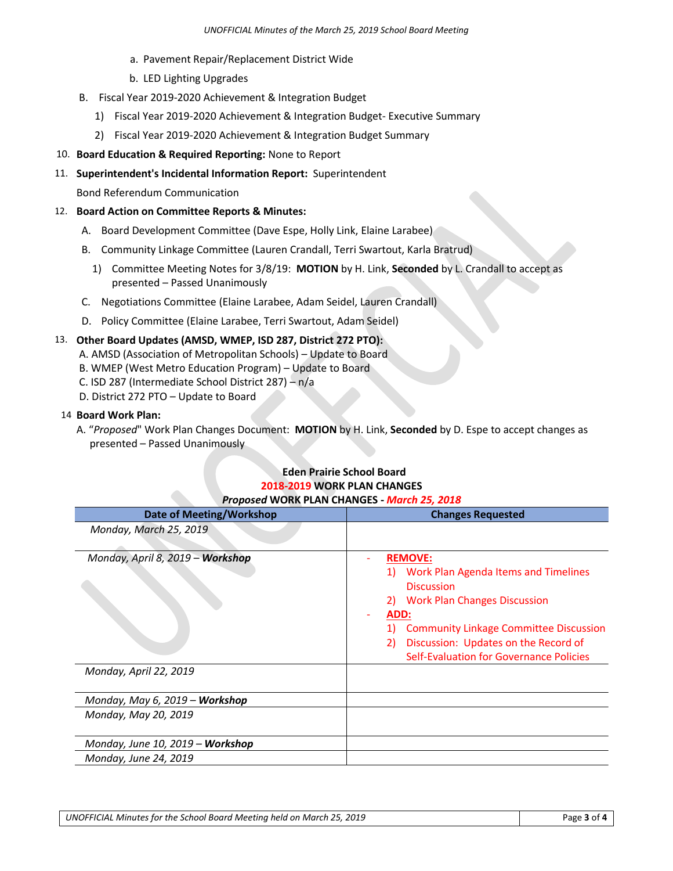- a. Pavement Repair/Replacement District Wide
- b. LED Lighting Upgrades
- B. Fiscal Year 2019-2020 Achievement & Integration Budget
	- 1) Fiscal Year 2019-2020 Achievement & Integration Budget- Executive Summary
	- 2) Fiscal Year 2019-2020 Achievement & Integration Budget Summary
- 110. **Board Education & Required Reporting:** None to Report
- 11. **Superintendent's Incidental Information Report:** Superintendent

Bond Referendum Communication

### 12. **Board Action on Committee Reports & Minutes:**

- A. Board Development Committee (Dave Espe, Holly Link, Elaine Larabee)
- B. Community Linkage Committee (Lauren Crandall, Terri Swartout, Karla Bratrud)
	- 1) Committee Meeting Notes for 3/8/19: **MOTION** by H. Link, **Seconded** by L. Crandall to accept as presented – Passed Unanimously
- C. Negotiations Committee (Elaine Larabee, Adam Seidel, Lauren Crandall)
- D. Policy Committee (Elaine Larabee, Terri Swartout, Adam Seidel)

## 13. **Other Board Updates (AMSD, WMEP, ISD 287, District 272 PTO):**

- A. AMSD (Association of Metropolitan Schools) Update to Board
- B. WMEP (West Metro Education Program) Update to Board
- C. ISD 287 (Intermediate School District 287) n/a
- D. District 272 PTO Update to Board

#### 14 **Board Work Plan:**

A. "*Proposed*" Work Plan Changes Document: **MOTION** by H. Link, **Seconded** by D. Espe to accept changes as presented – Passed Unanimously

#### **Eden Prairie School Board 2018-2019 WORK PLAN CHANGES** *Proposed* **WORK PLAN CHANGES -** *March 25, 2018*

| Date of Meeting/Workshop                                      | <b>Changes Requested</b>                                                                                                                                                                                                        |
|---------------------------------------------------------------|---------------------------------------------------------------------------------------------------------------------------------------------------------------------------------------------------------------------------------|
| Monday, March 25, 2019                                        |                                                                                                                                                                                                                                 |
| Monday, April 8, 2019 - Workshop                              | <b>REMOVE:</b><br>Work Plan Agenda Items and Timelines<br><b>Discussion</b><br><b>Work Plan Changes Discussion</b><br>2)<br>ADD:<br><b>Community Linkage Committee Discussion</b><br>Discussion: Updates on the Record of<br>2) |
| Monday, April 22, 2019                                        | Self-Evaluation for Governance Policies                                                                                                                                                                                         |
| Monday, May 6, 2019 – <b>Workshop</b><br>Monday, May 20, 2019 |                                                                                                                                                                                                                                 |
| Monday, June 10, 2019 - Workshop<br>Monday, June 24, 2019     |                                                                                                                                                                                                                                 |